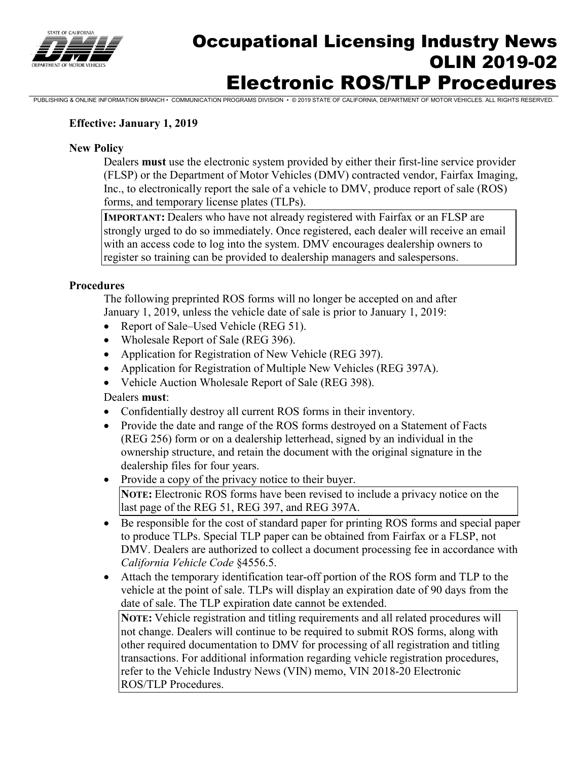

## Occupational Licensing Industry News OLIN 2019-02 Electronic ROS/TLP Procedures

PUBLISHING & ONLINE INFORMATION BRANCH • COMMUNICATION PROGRAMS DIVISION • © 2019 STATE OF CALIFORNIA, DEPARTMENT OF MOTOR VEHICLES. ALL RIGHTS RESERVED.

## **Effective: January 1, 2019**

## **New Policy**

Dealers **must** use the electronic system provided by either their first-line service provider (FLSP) or the Department of Motor Vehicles (DMV) contracted vendor, Fairfax Imaging, Inc., to electronically report the sale of a vehicle to DMV, produce report of sale (ROS) forms, and temporary license plates (TLPs).

**IMPORTANT:** Dealers who have not already registered with Fairfax or an FLSP are strongly urged to do so immediately. Once registered, each dealer will receive an email with an access code to log into the system. DMV encourages dealership owners to register so training can be provided to dealership managers and salespersons.

### **Procedures**

The following preprinted ROS forms will no longer be accepted on and after January 1, 2019, unless the vehicle date of sale is prior to January 1, 2019:

- Report of Sale–Used Vehicle (REG 51).
- Wholesale Report of Sale (REG 396).
- Application for Registration of New Vehicle (REG 397).
- Application for Registration of Multiple New Vehicles (REG 397A).
- Vehicle Auction Wholesale Report of Sale (REG 398).

### Dealers **must**:

- Confidentially destroy all current ROS forms in their inventory.
- Provide the date and range of the ROS forms destroved on a Statement of Facts (REG 256) form or on a dealership letterhead, signed by an individual in the ownership structure, and retain the document with the original signature in the dealership files for four years.
- Provide a copy of the privacy notice to their buyer. **NOTE:** Electronic ROS forms have been revised to include a privacy notice on the last page of the REG 51, REG 397, and REG 397A.
- Be responsible for the cost of standard paper for printing ROS forms and special paper to produce TLPs. Special TLP paper can be obtained from Fairfax or a FLSP, not DMV. Dealers are authorized to collect a document processing fee in accordance with *California Vehicle Code* §4556.5.
- Attach the temporary identification tear-off portion of the ROS form and TLP to the vehicle at the point of sale. TLPs will display an expiration date of 90 days from the date of sale. The TLP expiration date cannot be extended.

**NOTE:** Vehicle registration and titling requirements and all related procedures will not change. Dealers will continue to be required to submit ROS forms, along with other required documentation to DMV for processing of all registration and titling transactions. For additional information regarding vehicle registration procedures, refer to the Vehicle Industry News (VIN) memo, VIN 2018-20 Electronic ROS/TLP Procedures.